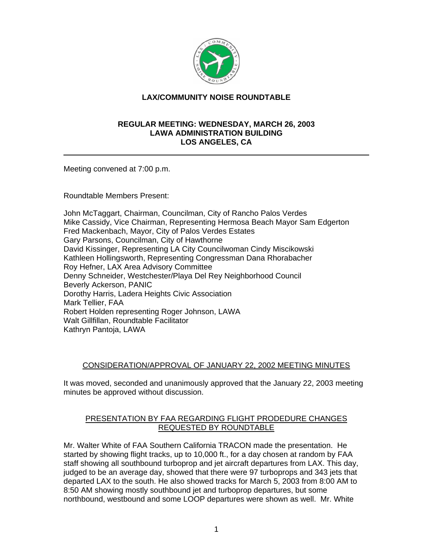

# **LAX/COMMUNITY NOISE ROUNDTABLE**

#### **REGULAR MEETING: WEDNESDAY, MARCH 26, 2003 LAWA ADMINISTRATION BUILDING LOS ANGELES, CA**

Meeting convened at 7:00 p.m.

Roundtable Members Present:

John McTaggart, Chairman, Councilman, City of Rancho Palos Verdes Mike Cassidy, Vice Chairman, Representing Hermosa Beach Mayor Sam Edgerton Fred Mackenbach, Mayor, City of Palos Verdes Estates Gary Parsons, Councilman, City of Hawthorne David Kissinger, Representing LA City Councilwoman Cindy Miscikowski Kathleen Hollingsworth, Representing Congressman Dana Rhorabacher Roy Hefner, LAX Area Advisory Committee Denny Schneider, Westchester/Playa Del Rey Neighborhood Council Beverly Ackerson, PANIC Dorothy Harris, Ladera Heights Civic Association Mark Tellier, FAA Robert Holden representing Roger Johnson, LAWA Walt Gillfillan, Roundtable Facilitator Kathryn Pantoja, LAWA

## CONSIDERATION/APPROVAL OF JANUARY 22, 2002 MEETING MINUTES

It was moved, seconded and unanimously approved that the January 22, 2003 meeting minutes be approved without discussion.

## PRESENTATION BY FAA REGARDING FLIGHT PRODEDURE CHANGES REQUESTED BY ROUNDTABLE

Mr. Walter White of FAA Southern California TRACON made the presentation. He started by showing flight tracks, up to 10,000 ft., for a day chosen at random by FAA staff showing all southbound turboprop and jet aircraft departures from LAX. This day, judged to be an average day, showed that there were 97 turboprops and 343 jets that departed LAX to the south. He also showed tracks for March 5, 2003 from 8:00 AM to 8:50 AM showing mostly southbound jet and turboprop departures, but some northbound, westbound and some LOOP departures were shown as well. Mr. White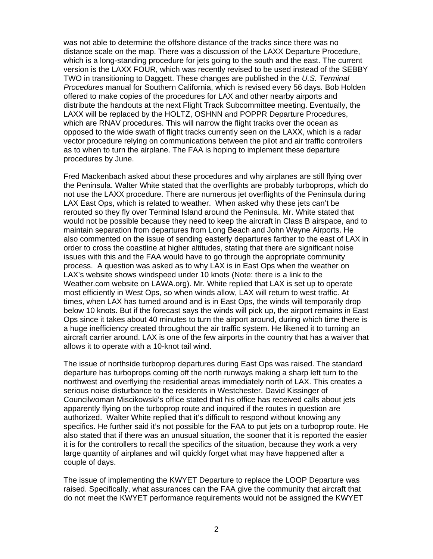was not able to determine the offshore distance of the tracks since there was no distance scale on the map. There was a discussion of the LAXX Departure Procedure, which is a long-standing procedure for jets going to the south and the east. The current version is the LAXX FOUR, which was recently revised to be used instead of the SEBBY TWO in transitioning to Daggett. These changes are published in the *U.S. Terminal Procedures* manual for Southern California, which is revised every 56 days. Bob Holden offered to make copies of the procedures for LAX and other nearby airports and distribute the handouts at the next Flight Track Subcommittee meeting. Eventually, the LAXX will be replaced by the HOLTZ, OSHNN and POPPR Departure Procedures, which are RNAV procedures. This will narrow the flight tracks over the ocean as opposed to the wide swath of flight tracks currently seen on the LAXX, which is a radar vector procedure relying on communications between the pilot and air traffic controllers as to when to turn the airplane. The FAA is hoping to implement these departure procedures by June.

Fred Mackenbach asked about these procedures and why airplanes are still flying over the Peninsula. Walter White stated that the overflights are probably turboprops, which do not use the LAXX procedure. There are numerous jet overflights of the Peninsula during LAX East Ops, which is related to weather. When asked why these jets can't be rerouted so they fly over Terminal Island around the Peninsula. Mr. White stated that would not be possible because they need to keep the aircraft in Class B airspace, and to maintain separation from departures from Long Beach and John Wayne Airports. He also commented on the issue of sending easterly departures farther to the east of LAX in order to cross the coastline at higher altitudes, stating that there are significant noise issues with this and the FAA would have to go through the appropriate community process. A question was asked as to why LAX is in East Ops when the weather on LAX's website shows windspeed under 10 knots (Note: there is a link to the Weather.com website on LAWA.org). Mr. White replied that LAX is set up to operate most efficiently in West Ops, so when winds allow, LAX will return to west traffic. At times, when LAX has turned around and is in East Ops, the winds will temporarily drop below 10 knots. But if the forecast says the winds will pick up, the airport remains in East Ops since it takes about 40 minutes to turn the airport around, during which time there is a huge inefficiency created throughout the air traffic system. He likened it to turning an aircraft carrier around. LAX is one of the few airports in the country that has a waiver that allows it to operate with a 10-knot tail wind.

The issue of northside turboprop departures during East Ops was raised. The standard departure has turboprops coming off the north runways making a sharp left turn to the northwest and overflying the residential areas immediately north of LAX. This creates a serious noise disturbance to the residents in Westchester. David Kissinger of Councilwoman Miscikowski's office stated that his office has received calls about jets apparently flying on the turboprop route and inquired if the routes in question are authorized. Walter White replied that it's difficult to respond without knowing any specifics. He further said it's not possible for the FAA to put jets on a turboprop route. He also stated that if there was an unusual situation, the sooner that it is reported the easier it is for the controllers to recall the specifics of the situation, because they work a very large quantity of airplanes and will quickly forget what may have happened after a couple of days.

The issue of implementing the KWYET Departure to replace the LOOP Departure was raised. Specifically, what assurances can the FAA give the community that aircraft that do not meet the KWYET performance requirements would not be assigned the KWYET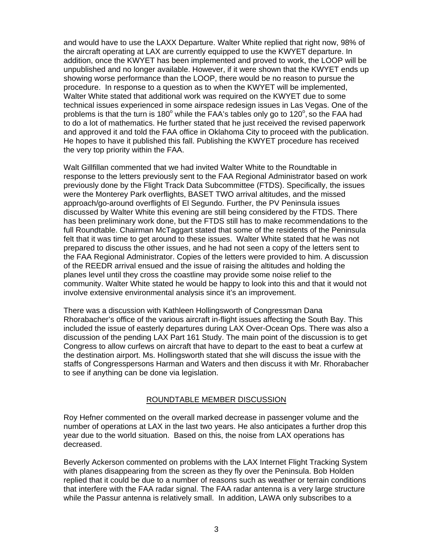and would have to use the LAXX Departure. Walter White replied that right now, 98% of the aircraft operating at LAX are currently equipped to use the KWYET departure. In addition, once the KWYET has been implemented and proved to work, the LOOP will be unpublished and no longer available. However, if it were shown that the KWYET ends up showing worse performance than the LOOP, there would be no reason to pursue the procedure. In response to a question as to when the KWYET will be implemented, Walter White stated that additional work was required on the KWYET due to some technical issues experienced in some airspace redesign issues in Las Vegas. One of the problems is that the turn is 180 $^{\circ}$  while the FAA's tables only go to 120 $^{\circ}$ , so the FAA had to do a lot of mathematics. He further stated that he just received the revised paperwork and approved it and told the FAA office in Oklahoma City to proceed with the publication. He hopes to have it published this fall. Publishing the KWYET procedure has received the very top priority within the FAA.

Walt Gillfillan commented that we had invited Walter White to the Roundtable in response to the letters previously sent to the FAA Regional Administrator based on work previously done by the Flight Track Data Subcommittee (FTDS). Specifically, the issues were the Monterey Park overflights, BASET TWO arrival altitudes, and the missed approach/go-around overflights of El Segundo. Further, the PV Peninsula issues discussed by Walter White this evening are still being considered by the FTDS. There has been preliminary work done, but the FTDS still has to make recommendations to the full Roundtable. Chairman McTaggart stated that some of the residents of the Peninsula felt that it was time to get around to these issues. Walter White stated that he was not prepared to discuss the other issues, and he had not seen a copy of the letters sent to the FAA Regional Administrator. Copies of the letters were provided to him. A discussion of the REEDR arrival ensued and the issue of raising the altitudes and holding the planes level until they cross the coastline may provide some noise relief to the community. Walter White stated he would be happy to look into this and that it would not involve extensive environmental analysis since it's an improvement.

There was a discussion with Kathleen Hollingsworth of Congressman Dana Rhorabacher's office of the various aircraft in-flight issues affecting the South Bay. This included the issue of easterly departures during LAX Over-Ocean Ops. There was also a discussion of the pending LAX Part 161 Study. The main point of the discussion is to get Congress to allow curfews on aircraft that have to depart to the east to beat a curfew at the destination airport. Ms. Hollingsworth stated that she will discuss the issue with the staffs of Congresspersons Harman and Waters and then discuss it with Mr. Rhorabacher to see if anything can be done via legislation.

## ROUNDTABLE MEMBER DISCUSSION

Roy Hefner commented on the overall marked decrease in passenger volume and the number of operations at LAX in the last two years. He also anticipates a further drop this year due to the world situation. Based on this, the noise from LAX operations has decreased.

Beverly Ackerson commented on problems with the LAX Internet Flight Tracking System with planes disappearing from the screen as they fly over the Peninsula. Bob Holden replied that it could be due to a number of reasons such as weather or terrain conditions that interfere with the FAA radar signal. The FAA radar antenna is a very large structure while the Passur antenna is relatively small. In addition, LAWA only subscribes to a